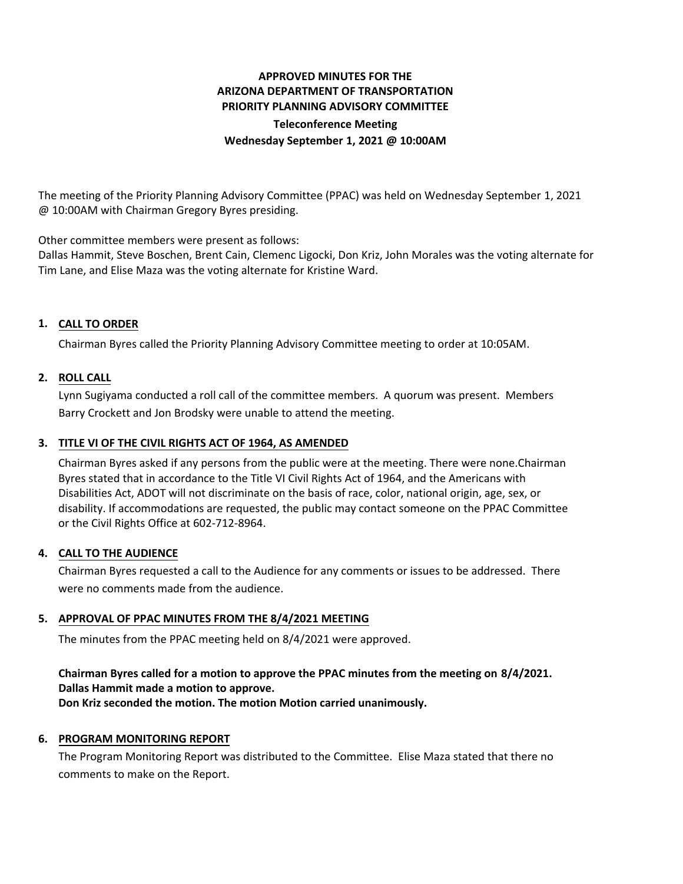# **APPROVED MINUTES FOR THE ARIZONA DEPARTMENT OF TRANSPORTATION PRIORITY PLANNING ADVISORY COMMITTEE Teleconference Meeting**

**Wednesday September 1, 2021 @ 10:00AM**

The meeting of the Priority Planning Advisory Committee (PPAC) was held on Wednesday September 1, 2021 @ 10:00AM with Chairman Gregory Byres presiding.

Other committee members were present as follows:

Dallas Hammit, Steve Boschen, Brent Cain, Clemenc Ligocki, Don Kriz, John Morales was the voting alternate for Tim Lane, and Elise Maza was the voting alternate for Kristine Ward.

## **CALL TO ORDER 1.**

Chairman Byres called the Priority Planning Advisory Committee meeting to order at 10:05AM.

### **ROLL CALL 2.**

Lynn Sugiyama conducted a roll call of the committee members. A quorum was present. Members Barry Crockett and Jon Brodsky were unable to attend the meeting.

## **TITLE VI OF THE CIVIL RIGHTS ACT OF 1964, AS AMENDED 3.**

Chairman Byres asked if any persons from the public were at the meeting. There were none.Chairman Byres stated that in accordance to the Title VI Civil Rights Act of 1964, and the Americans with Disabilities Act, ADOT will not discriminate on the basis of race, color, national origin, age, sex, or disability. If accommodations are requested, the public may contact someone on the PPAC Committee or the Civil Rights Office at 602-712-8964.

### **CALL TO THE AUDIENCE 4.**

Chairman Byres requested a call to the Audience for any comments or issues to be addressed. There were no comments made from the audience.

### **APPROVAL OF PPAC MINUTES FROM THE 8/4/2021 MEETING 5.**

The minutes from the PPAC meeting held on 8/4/2021 were approved.

## **Chairman Byres called for a motion to approve the PPAC minutes from the meeting on 8/4/2021. Dallas Hammit made a motion to approve.**

**Don Kriz seconded the motion. The motion Motion carried unanimously.**

### **6. PROGRAM MONITORING REPORT**

The Program Monitoring Report was distributed to the Committee. Elise Maza stated that there no comments to make on the Report.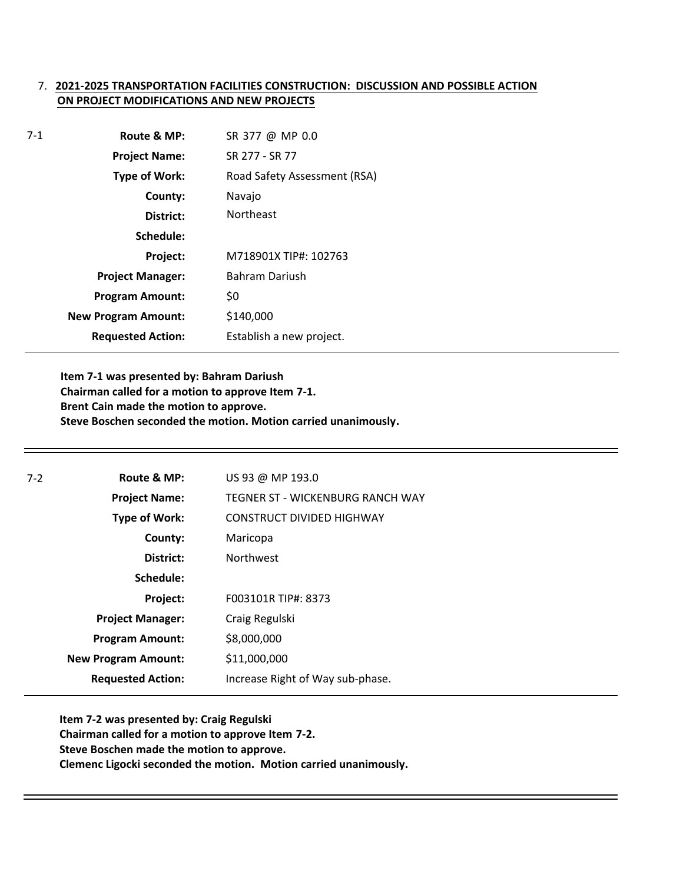## 7. **2021-2025 TRANSPORTATION FACILITIES CONSTRUCTION: DISCUSSION AND POSSIBLE ACTION ON PROJECT MODIFICATIONS AND NEW PROJECTS**

| $7-1$ | Route & MP:                | SR 377 @ MP 0.0              |
|-------|----------------------------|------------------------------|
|       | <b>Project Name:</b>       | SR 277 - SR 77               |
|       | <b>Type of Work:</b>       | Road Safety Assessment (RSA) |
|       | County:                    | Navajo                       |
|       | District:                  | <b>Northeast</b>             |
|       | Schedule:                  |                              |
|       | Project:                   | M718901X TIP#: 102763        |
|       | <b>Project Manager:</b>    | <b>Bahram Dariush</b>        |
|       | <b>Program Amount:</b>     | \$0                          |
|       | <b>New Program Amount:</b> | \$140,000                    |
|       | <b>Requested Action:</b>   | Establish a new project.     |

**Item 7-1 was presented by: Bahram Dariush Chairman called for a motion to approve Item 7-1. Brent Cain made the motion to approve. Steve Boschen seconded the motion. Motion carried unanimously.**

| $7-2$ | Route & MP:                | US 93 @ MP 193.0                        |
|-------|----------------------------|-----------------------------------------|
|       | <b>Project Name:</b>       | <b>TEGNER ST - WICKENBURG RANCH WAY</b> |
|       | Type of Work:              | CONSTRUCT DIVIDED HIGHWAY               |
|       | County:                    | Maricopa                                |
|       | District:                  | <b>Northwest</b>                        |
|       | Schedule:                  |                                         |
|       | Project:                   | F003101R TIP#: 8373                     |
|       | <b>Project Manager:</b>    | Craig Regulski                          |
|       | <b>Program Amount:</b>     | \$8,000,000                             |
|       | <b>New Program Amount:</b> | \$11,000,000                            |
|       | <b>Requested Action:</b>   | Increase Right of Way sub-phase.        |
|       |                            |                                         |

**Item 7-2 was presented by: Craig Regulski Chairman called for a motion to approve Item 7-2. Steve Boschen made the motion to approve. Clemenc Ligocki seconded the motion. Motion carried unanimously.**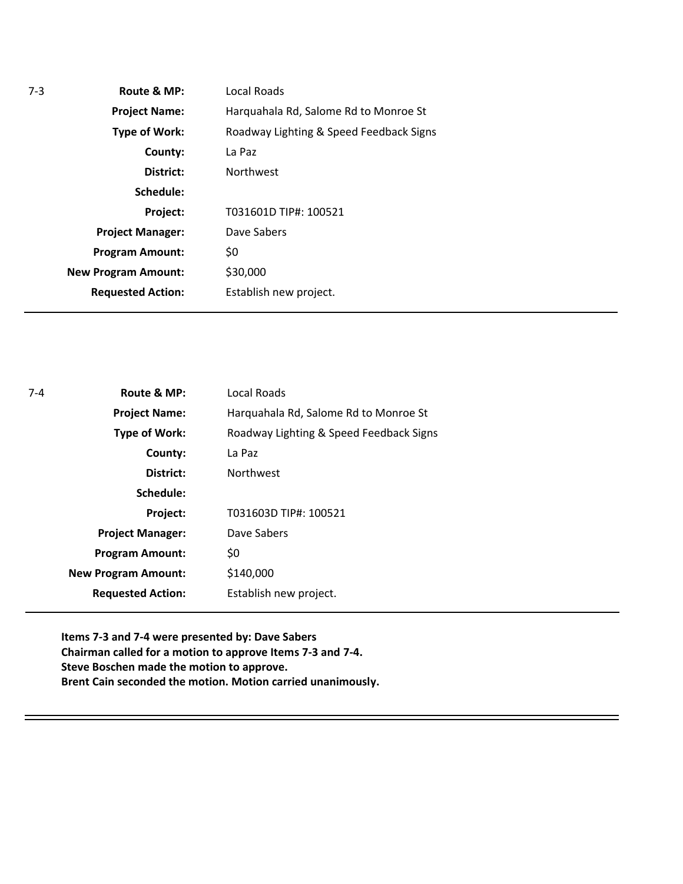| Local Roads                             |
|-----------------------------------------|
| Harquahala Rd, Salome Rd to Monroe St   |
| Roadway Lighting & Speed Feedback Signs |
| La Paz                                  |
| <b>Northwest</b>                        |
|                                         |
| T031601D TIP#: 100521                   |
| Dave Sabers                             |
| \$0                                     |
| \$30,000                                |
| Establish new project.                  |
|                                         |

| $7 - 4$ | Route & MP:                | Local Roads                             |
|---------|----------------------------|-----------------------------------------|
|         | <b>Project Name:</b>       | Harquahala Rd, Salome Rd to Monroe St   |
|         | <b>Type of Work:</b>       | Roadway Lighting & Speed Feedback Signs |
|         | County:                    | La Paz                                  |
|         | District:                  | <b>Northwest</b>                        |
|         | Schedule:                  |                                         |
|         | Project:                   | T031603D TIP#: 100521                   |
|         | <b>Project Manager:</b>    | Dave Sabers                             |
|         | <b>Program Amount:</b>     | \$0                                     |
|         | <b>New Program Amount:</b> | \$140,000                               |
|         | <b>Requested Action:</b>   | Establish new project.                  |

**Items 7-3 and 7-4 were presented by: Dave Sabers Chairman called for a motion to approve Items 7-3 and 7-4. Steve Boschen made the motion to approve. Brent Cain seconded the motion. Motion carried unanimously.**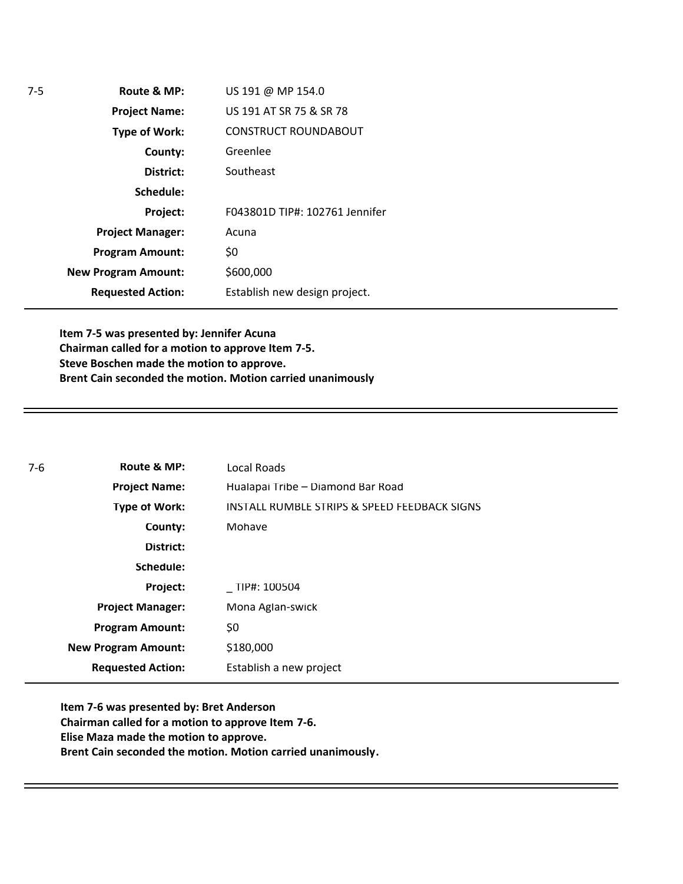| Route & MP:                | US 191 @ MP 154.0              |
|----------------------------|--------------------------------|
| <b>Project Name:</b>       | US 191 AT SR 75 & SR 78        |
| <b>Type of Work:</b>       | <b>CONSTRUCT ROUNDABOUT</b>    |
| County:                    | Greenlee                       |
| District:                  | Southeast                      |
| Schedule:                  |                                |
| Project:                   | F043801D TIP#: 102761 Jennifer |
| <b>Project Manager:</b>    | Acuna                          |
| <b>Program Amount:</b>     | \$0                            |
| <b>New Program Amount:</b> | \$600,000                      |
| <b>Requested Action:</b>   | Establish new design project.  |
|                            |                                |

**Item 7-5 was presented by: Jennifer Acuna Chairman called for a motion to approve Item 7-5. Steve Boschen made the motion to approve. Brent Cain seconded the motion. Motion carried unanimously**

| $7-6$ | Route & MP:                | Local Roads                                  |
|-------|----------------------------|----------------------------------------------|
|       | <b>Project Name:</b>       | Hualapai Tribe - Diamond Bar Road            |
|       | Type of Work:              | INSTALL RUMBLE STRIPS & SPEED FEEDBACK SIGNS |
|       | County:                    | Mohave                                       |
|       | District:                  |                                              |
|       | Schedule:                  |                                              |
|       | Project:                   | TIP#: 100504                                 |
|       | <b>Project Manager:</b>    | Mona Aglan-swick                             |
|       | <b>Program Amount:</b>     | Ş0                                           |
|       | <b>New Program Amount:</b> | \$180,000                                    |
|       | <b>Requested Action:</b>   | Establish a new project                      |

**Item 7-6 was presented by: Bret Anderson Chairman called for a motion to approve Item 7-6. Elise Maza made the motion to approve. Brent Cain seconded the motion. Motion carried unanimously.**

7-5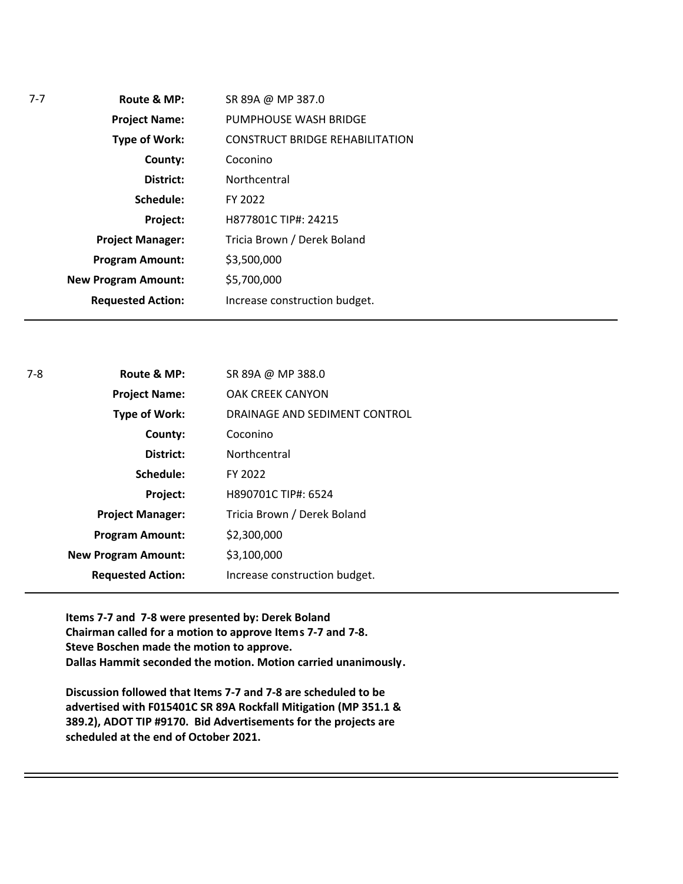| 7-7 | Route & MP:                | SR 89A @ MP 387.0                      |
|-----|----------------------------|----------------------------------------|
|     | <b>Project Name:</b>       | PUMPHOUSE WASH BRIDGE                  |
|     | <b>Type of Work:</b>       | <b>CONSTRUCT BRIDGE REHABILITATION</b> |
|     | County:                    | Coconino                               |
|     | District:                  | Northcentral                           |
|     | Schedule:                  | FY 2022                                |
|     | Project:                   | H877801C TIP#: 24215                   |
|     | <b>Project Manager:</b>    | Tricia Brown / Derek Boland            |
|     | <b>Program Amount:</b>     | \$3,500,000                            |
|     | <b>New Program Amount:</b> | \$5,700,000                            |
|     | <b>Requested Action:</b>   | Increase construction budget.          |
|     |                            |                                        |

| $7-8$ | Route & MP:                | SR 89A @ MP 388.0             |
|-------|----------------------------|-------------------------------|
|       | <b>Project Name:</b>       | <b>OAK CREEK CANYON</b>       |
|       | <b>Type of Work:</b>       | DRAINAGE AND SEDIMENT CONTROL |
|       | County:                    | Coconino                      |
|       | District:                  | Northcentral                  |
|       | Schedule:                  | FY 2022                       |
|       | Project:                   | H890701C TIP#: 6524           |
|       | <b>Project Manager:</b>    | Tricia Brown / Derek Boland   |
|       | <b>Program Amount:</b>     | \$2,300,000                   |
|       | <b>New Program Amount:</b> | \$3,100,000                   |
|       | <b>Requested Action:</b>   | Increase construction budget. |

**Items 7-7 and 7-8 were presented by: Derek Boland Chairman called for a motion to approve Items 7-7 and 7-8. Steve Boschen made the motion to approve. Dallas Hammit seconded the motion. Motion carried unanimously.**

**Discussion followed that Items 7-7 and 7-8 are scheduled to be advertised with F015401C SR 89A Rockfall Mitigation (MP 351.1 & 389.2), ADOT TIP #9170. Bid Advertisements for the projects are scheduled at the end of October 2021.**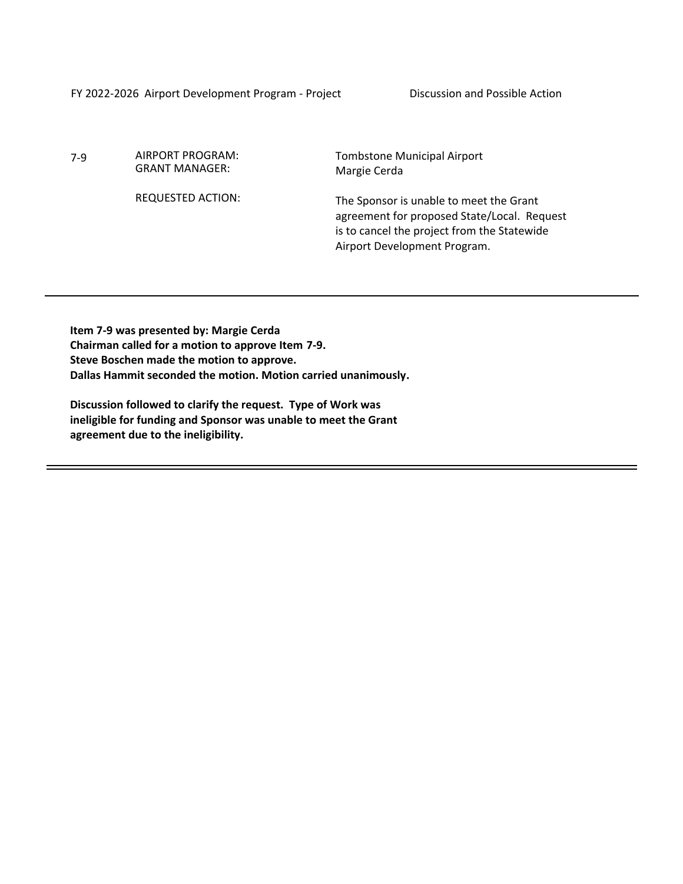FY 2022-2026 Airport Development Program - Project Discussion and Possible Action

7-9 AIRPORT PROGRAM: GRANT MANAGER:

REQUESTED ACTION:

Tombstone Municipal Airport Margie Cerda

The Sponsor is unable to meet the Grant agreement for proposed State/Local. Request is to cancel the project from the Statewide Airport Development Program.

**Item 7-9 was presented by: Margie Cerda Chairman called for a motion to approve Item 7-9. Steve Boschen made the motion to approve. Dallas Hammit seconded the motion. Motion carried unanimously.**

**Discussion followed to clarify the request. Type of Work was ineligible for funding and Sponsor was unable to meet the Grant agreement due to the ineligibility.**